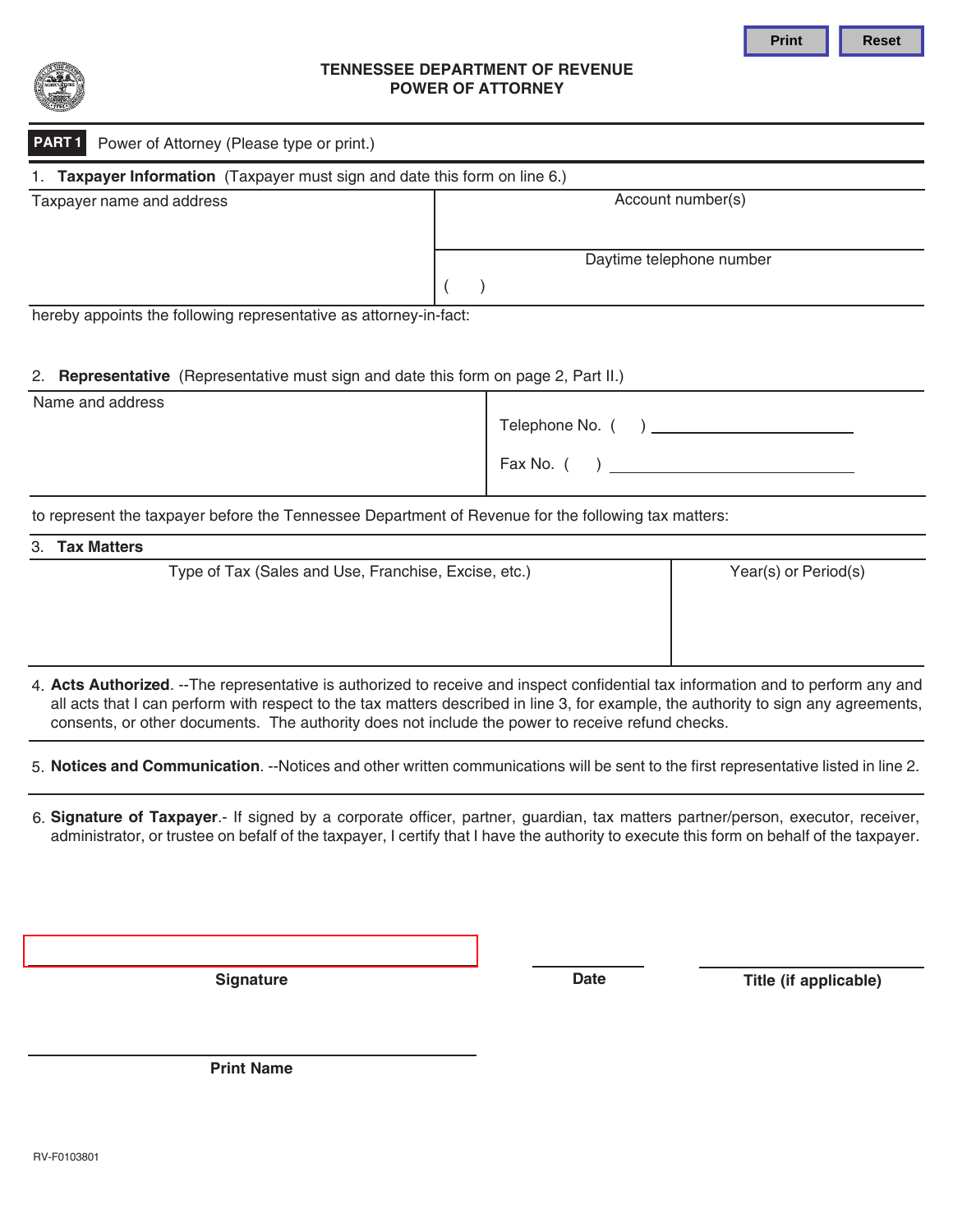



### **TENNESSEE DEPARTMENT OF REVENUE POWER OF ATTORNEY**

| <b>PART 1</b> Power of Attorney (Please type or print.) |
|---------------------------------------------------------|

| 1. Taxpayer Information (Taxpayer must sign and date this form on line 6.) |                          |  |  |  |
|----------------------------------------------------------------------------|--------------------------|--|--|--|
| Taxpayer name and address                                                  | Account number(s)        |  |  |  |
|                                                                            | Daytime telephone number |  |  |  |
|                                                                            |                          |  |  |  |

hereby appoints the following representative as attorney-in-fact:

# 2. **Representative** (Representative must sign and date this form on page 2, Part II.)

| Name and address |                  |
|------------------|------------------|
|                  | Telephone No. () |
|                  | Fax No. (        |

to represent the taxpayer before the Tennessee Department of Revenue for the following tax matters:

| 3. Tax Matters |                                                      |                      |  |  |  |
|----------------|------------------------------------------------------|----------------------|--|--|--|
|                | Type of Tax (Sales and Use, Franchise, Excise, etc.) | Year(s) or Period(s) |  |  |  |
|                |                                                      |                      |  |  |  |
|                |                                                      |                      |  |  |  |

4. **Acts Authorized**. --The representative is authorized to receive and inspect confidential tax information and to perform any and all acts that I can perform with respect to the tax matters described in line 3, for example, the authority to sign any agreements, consents, or other documents. The authority does not include the power to receive refund checks.

5. **Notices and Communication**. --Notices and other written communications will be sent to the first representative listed in line 2.

6. **Signature of Taxpayer**.- If signed by a corporate officer, partner, guardian, tax matters partner/person, executor, receiver, administrator, or trustee on befalf of the taxpayer, I certify that I have the authority to execute this form on behalf of the taxpayer.

**Signature Date Title (if applicable)**

**Print Name**